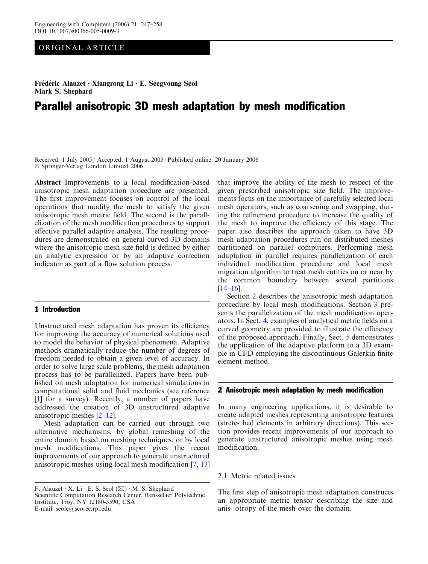# ORIGINAL ARTICLE

Frédéric Alauzet  $\cdot$  Xiangrong Li  $\cdot$  E. Seegyoung Seol Mark S. Shephard

# Parallel anisotropic 3D mesh adaptation by mesh modification

Received: 1 July 2005 / Accepted: 1 August 2005 / Published online: 20 January 2006 Springer-Verlag London Limited 2006

Abstract Improvements to a local modification-based anisotropic mesh adaptation procedure are presented. The first improvement focuses on control of the local operations that modify the mesh to satisfy the given anisotropic mesh metric field. The second is the parallelization of the mesh modification procedures to support effective parallel adaptive analysis. The resulting procedures are demonstrated on general curved 3D domains where the anisotropic mesh size field is defined by either an analytic expression or by an adaptive correction indicator as part of a flow solution process.

# 1 Introduction

Unstructured mesh adaptation has proven its efficiency for improving the accuracy of numerical solutions used to model the behavior of physical phenomena. Adaptive methods dramatically reduce the number of degrees of freedom needed to obtain a given level of accuracy. In order to solve large scale problems, the mesh adaptation process has to be parallelized. Papers have been published on mesh adaptation for numerical simulations in computational solid and fluid mechanics (see reference [[1](#page-10-0)] for a survey). Recently, a number of papers have addressed the creation of 3D unstructured adaptive anisotropic meshes [[2](#page-10-0)[–12](#page-11-0)].

Mesh adaptation can be carried out through two alternative mechanisms, by global remeshing of the entire domain based on meshing techniques, or by local mesh modifications. This paper gives the recent improvements of our approach to generate unstructured anisotropic meshes using local mesh modification [\[7](#page-10-0), [13](#page-11-0)]

that improve the ability of the mesh to respect of the given prescribed anisotropic size field. The improvements focus on the importance of carefully selected local mesh operators, such as coarsening and swapping, during the refinement procedure to increase the quality of the mesh to improve the efficiency of this stage. The paper also describes the approach taken to have 3D mesh adaptation procedures run on distributed meshes partitioned on parallel computers. Performing mesh adaptation in parallel requires parallelization of each individual modification procedure and local mesh migration algorithm to treat mesh entities on or near by the common boundary between several partitions  $[14–16]$  $[14–16]$ .

Section 2 describes the anisotropic mesh adaptation procedure by local mesh modifications. Section 3 presents the parallelization of the mesh modification operators. In Sect. 4, examples of analytical metric fields on a curved geometry are provided to illustrate the efficiency of the proposed approach. Finally, Sect. 5 demonstrates the application of the adaptive platform to a 3D example in CFD employing the discontinuous Galerkin finite element method.

#### 2 Anisotropic mesh adaptation by mesh modification

In many engineering applications, it is desirable to create adapted meshes representing anisotropic features (stretc- hed elements in arbitrary directions). This section provides recent improvements of our approach to generate unstructured anisotropic meshes using mesh modification.

#### 2.1 Metric related issues

The first step of anisotropic mesh adaptation constructs an appropriate metric tensor describing the size and anis- otropy of the mesh over the domain.

F. Alauzet  $\cdot$  X. Li  $\cdot$  E. S. Seol ( $\boxtimes$ )  $\cdot$  M. S. Shephard Scientific Computation Research Center, Rensselaer Polytechnic Institute, Troy, NY 12180-3590, USA E-mail: seole@scorec.rpi.edu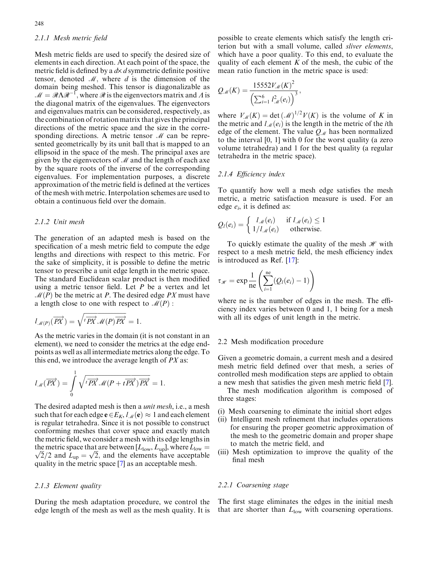# 2.1.1 Mesh metric field

Mesh metric fields are used to specify the desired size of elements in each direction. At each point of the space, the metric field is defined by a  $dx$  d symmetric definite positive tensor, denoted  $\mathcal{M}$ , where d is the dimension of the domain being meshed. This tensor is diagonalizable as  $M = \mathcal{R}\Lambda\mathcal{R}^{-1}$ , where  $\mathcal{R}$  is the eigenvectors matrix and  $\Lambda$  is the diagonal matrix of the eigenvalues. The eigenvectors and eigenvalues matrix can be considered, respectively, as the combination of rotation matrix that gives the principal directions of the metric space and the size in the corresponding directions. A metric tensor  $M$  can be represented geometrically by its unit ball that is mapped to an ellipsoid in the space of the mesh. The principal axes are given by the eigenvectors of  $M$  and the length of each axe by the square roots of the inverse of the corresponding eigenvalues. For implementation purposes, a discrete approximation of the metric field is defined at the vertices of the mesh with metric. Interpolation schemes are used to obtain a continuous field over the domain.

#### 2.1.2 Unit mesh

The generation of an adapted mesh is based on the specification of a mesh metric field to compute the edge lengths and directions with respect to this metric. For the sake of simplicity, it is possible to define the metric tensor to prescribe a unit edge length in the metric space. The standard Euclidean scalar product is then modified using a metric tensor field. Let  $P$  be a vertex and let  $\mathcal{M}(P)$  be the metric at P. The desired edge PX must have a length close to one with respect to  $\mathcal{M}(P)$ :

$$
l_{\mathcal{M}(P)}(\overrightarrow{PX}) = \sqrt{\sqrt{P\overrightarrow{PX}}\mathcal{M}(P)\overrightarrow{PX}} = 1.
$$

As the metric varies in the domain (it is not constant in an element), we need to consider the metrics at the edge endpoints as well as all intermediate metrics along the edge. To this end, we introduce the average length of  $PX$  as:

$$
l_{\mathcal{M}}(\overrightarrow{PX}) = \int_{0}^{1} \sqrt{t\overrightarrow{PX} \mathcal{M}(P + t\overrightarrow{PX})\overrightarrow{PX}} = 1.
$$

The desired adapted mesh is then a *unit mesh*, i.e., a mesh such that for each edge  $\mathbf{e} \in E_K$ ,  $l_M(\mathbf{e}) \approx 1$  and each element is regular tetrahedra. Since it is not possible to construct conforming meshes that cover space and exactly match the metric field, we consider a mesh with its edge lengths in the metric space that are between  $[L_{\text{low}}, L_{\text{up}}]$ , where  $L_{\text{low}} =$ the metric space that are between  $[L_{\text{low}}, L_{\text{up}}]$ , where  $L_{\text{low}} = \sqrt{2}/2$  and  $L_{\text{up}} = \sqrt{2}$ , and the elements have acceptable quality in the metric space [\[7](#page-10-0)] as an acceptable mesh.

# 2.1.3 Element quality

During the mesh adaptation procedure, we control the edge length of the mesh as well as the mesh quality. It is

possible to create elements which satisfy the length criterion but with a small volume, called sliver elements, which have a poor quality. To this end, to evaluate the quality of each element  $K$  of the mesh, the cubic of the mean ratio function in the metric space is used:

$$
Q_{\mathscr{M}}(K) = \frac{15552 V_{\mathscr{M}}(K)^2}{\left(\sum_{i=1}^6 l_{\mathscr{M}}^2(e_i)\right)^3},
$$

where  $V_M(K) = \det(M)^{1/2} V(K)$  is the volume of K in the metric and  $l_{\mathcal{M}}(e_i)$  is the length in the metric of the *i*th edge of the element. The value  $Q_{\mathcal{M}}$  has been normalized to the interval [0, 1] with 0 for the worst quality (a zero volume tetrahedra) and 1 for the best quality (a regular tetrahedra in the metric space).

#### 2.1.4 Efficiency index

To quantify how well a mesh edge satisfies the mesh metric, a metric satisfaction measure is used. For an edge  $e_i$ , it is defined as:

$$
Q_l(e_i) = \begin{cases} l_{\mathcal{M}}(e_i) & \text{if } l_{\mathcal{M}}(e_i) \leq 1 \\ 1/l_{\mathcal{M}}(e_i) & \text{otherwise.} \end{cases}
$$

To quickly estimate the quality of the mesh  $\mathcal{H}$  with respect to a mesh metric field, the mesh efficiency index is introduced as Ref. [[17\]](#page-11-0):

$$
\tau_{\mathscr{H}} = \exp \frac{1}{n e} \left( \sum_{i=1}^{n e} (Q_i(e_i) - 1) \right)
$$

where ne is the number of edges in the mesh. The efficiency index varies between 0 and 1, 1 being for a mesh with all its edges of unit length in the metric.

#### 2.2 Mesh modification procedure

Given a geometric domain, a current mesh and a desired mesh metric field defined over that mesh, a series of controlled mesh modification steps are applied to obtain a new mesh that satisfies the given mesh metric field [[7\]](#page-10-0).

The mesh modification algorithm is composed of three stages:

- (i) Mesh coarsening to eliminate the initial short edges
- (ii) Intelligent mesh refinement that includes operations for ensuring the proper geometric approximation of the mesh to the geometric domain and proper shape to match the metric field, and
- (iii) Mesh optimization to improve the quality of the final mesh

#### 2.2.1 Coarsening stage

The first stage eliminates the edges in the initial mesh that are shorter than  $L_{\text{low}}$  with coarsening operations.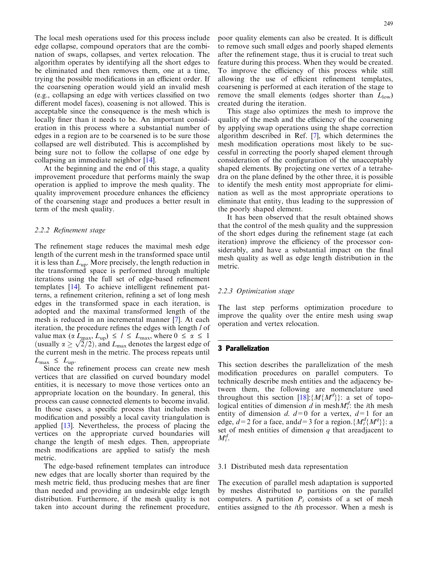The local mesh operations used for this process include edge collapse, compound operators that are the combination of swaps, collapses, and vertex relocation. The algorithm operates by identifying all the short edges to be eliminated and then removes them, one at a time, trying the possible modifications in an efficient order. If the coarsening operation would yield an invalid mesh (e.g., collapsing an edge with vertices classified on two different model faces), coasening is not allowed. This is acceptable since the consequence is the mesh which is locally finer than it needs to be. An important consideration in this process where a substantial number of edges in a region are to be coarsened is to be sure those collapsed are well distributed. This is accomplished by being sure not to follow the collapse of one edge by collapsing an immediate neighbor [\[14\]](#page-11-0).

At the beginning and the end of this stage, a quality improvement procedure that performs mainly the swap operation is applied to improve the mesh quality. The quality improvement procedure enhances the efficiency of the coarsening stage and produces a better result in term of the mesh quality.

#### 2.2.2 Refinement stage

The refinement stage reduces the maximal mesh edge length of the current mesh in the transformed space until it is less than  $L_{\text{up}}$ . More precisely, the length reduction in the transformed space is performed through multiple iterations using the full set of edge-based refinement templates [[14](#page-11-0)]. To achieve intelligent refinement patterns, a refinement criterion, refining a set of long mesh edges in the transformed space in each iteration, is adopted and the maximal transformed length of the mesh is reduced in an incremental manner [\[7](#page-10-0)]. At each iteration, the procedure refines the edges with length *l* of value max  $(\alpha L_{\text{max}}, L_{\text{up}}) \le l \le L_{\text{max}}$ , where  $0 \le \alpha \le 1$ value max ( $\alpha$   $L_{\text{max}}$ ,  $L_{\text{up}}$ )  $\le l \le L_{\text{max}}$ , where  $0 \le \alpha \le 1$ <br>(usually  $\alpha \ge \sqrt{2}/2$ ), and  $L_{\text{max}}$  denotes the largest edge of the current mesh in the metric. The process repeats until  $L_{\text{max}} \leq L_{\text{up}}$ .

Since the refinement process can create new mesh vertices that are classified on curved boundary model entities, it is necessary to move those vertices onto an appropriate location on the boundary. In general, this process can cause connected elements to become invalid. In those cases, a specific process that includes mesh modification and possibly a local cavity triangulation is applied [\[13](#page-11-0)]. Nevertheless, the process of placing the vertices on the appropriate curved boundaries will change the length of mesh edges. Then, appropriate mesh modifications are applied to satisfy the mesh metric.

The edge-based refinement templates can introduce new edges that are locally shorter than required by the mesh metric field, thus producing meshes that are finer than needed and providing an undesirable edge length distribution. Furthermore, if the mesh quality is not taken into account during the refinement procedure,

poor quality elements can also be created. It is difficult to remove such small edges and poorly shaped elements after the refinement stage, thus it is crucial to treat such feature during this process. When they would be created. To improve the efficiency of this process while still allowing the use of efficient refinement templates, coarsening is performed at each iteration of the stage to remove the small elements (edges shorter than  $L_{low}$ ) created during the iteration.

This stage also optimizes the mesh to improve the quality of the mesh and the efficiency of the coarsening by applying swap operations using the shape correction algorithm described in Ref. [[7\]](#page-10-0), which determines the mesh modification operations most likely to be successful in correcting the poorly shaped element through consideration of the configuration of the unacceptably shaped elements. By projecting one vertex of a tetrahedra on the plane defined by the other three, it is possible to identify the mesh entity most appropriate for elimination as well as the most appropriate operations to eliminate that entity, thus leading to the suppression of the poorly shaped element.

It has been observed that the result obtained shows that the control of the mesh quality and the suppression of the short edges during the refinement stage (at each iteration) improve the efficiency of the processor considerably, and have a substantial impact on the final mesh quality as well as edge length distribution in the metric.

#### 2.2.3 Optimization stage

The last step performs optimization procedure to improve the quality over the entire mesh using swap operation and vertex relocation.

# 3 Parallelization

This section describes the parallelization of the mesh modification procedures on parallel computers. To technically describe mesh entities and the adjacency between them, the following are nomenclature used throughout this section [[18\]](#page-11-0): $\{M\{M^d\}\}$ : a set of topological entities of dimension  $\tilde{d}$  in mesh $M_i^d$ : the *i*th mesh entity of dimension d.  $d=0$  for a vertex,  $d=1$  for an edge,  $d=2$  for a face, and  $d=3$  for a region. { $M_i^d{M^q}$ } : a set of mesh entities of dimension  $q$  that areadjacent to  $M_i^d$ .

#### 3.1 Distributed mesh data representation

The execution of parallel mesh adaptation is supported by meshes distributed to partitions on the parallel computers. A partition  $P_i$  consists of a set of mesh entities assigned to the ith processor. When a mesh is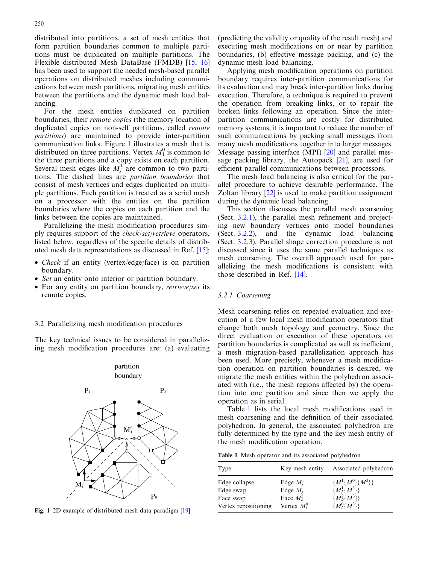distributed into partitions, a set of mesh entities that form partition boundaries common to multiple partitions must be duplicated on multiple partitions. The Flexible distributed Mesh DataBase (FMDB) [\[15,](#page-11-0) [16](#page-11-0)] has been used to support the needed mesh-based parallel operations on distributed meshes including communications between mesh partitions, migrating mesh entities between the partitions and the dynamic mesh load balancing.

For the mesh entities duplicated on partition boundaries, their remote copies (the memory location of duplicated copies on non-self partitions, called remote partitions) are maintained to provide inter-partition communication links. Figure 1 illustrates a mesh that is distributed on three partitions. Vertex  $M_1^0$  is common to the three partitions and a copy exists on each partition. Several mesh edges like  $M_j^1$  are common to two partitions. The dashed lines are partition boundaries that consist of mesh vertices and edges duplicated on multiple partitions. Each partition is treated as a serial mesh on a processor with the entities on the partition boundaries where the copies on each partition and the links between the copies are maintained.

Parallelizing the mesh modification procedures simply requires support of the check/set/retrieve operators, listed below, regardless of the specific details of distributed mesh data representations as discussed in Ref. [\[15](#page-11-0)]:

- Check if an entity (vertex/edge/face) is on partition boundary.
- Set an entity onto interior or partition boundary.
- For any entity on partition boundary, retrieve/set its remote copies.

#### 3.2 Parallelizing mesh modification procedures

The key technical issues to be considered in parallelizing mesh modification procedures are: (a) evaluating



Fig. 1 2D example of distributed mesh data paradigm [[19](#page-11-0)]

(predicting the validity or quality of the result mesh) and executing mesh modifications on or near by partition boundaries, (b) effective message packing, and (c) the dynamic mesh load balancing.

Applying mesh modification operations on partition boundary requires inter-partition communications for its evaluation and may break inter-partition links during execution. Therefore, a technique is required to prevent the operation from breaking links, or to repair the broken links following an operation. Since the interpartition communications are costly for distributed memory systems, it is important to reduce the number of such communications by packing small messages from many mesh modifications together into larger messages. Message passing interface (MPI) [\[20](#page-11-0)] and parallel message packing library, the Autopack  $[21]$  $[21]$ , are used for efficient parallel communications between processors.

The mesh load balancing is also critical for the parallel procedure to achieve desirable performance. The Zoltan library [[22\]](#page-11-0) is used to make partition assignment during the dynamic load balancing.

This section discusses the parallel mesh coarsening (Sect. 3.2.1), the parallel mesh refinement and projecting new boundary vertices onto model boundaries (Sect. 3.2.2), and the dynamic load balancing (Sect. 3.2.3). Parallel shape correction procedure is not discussed since it uses the same parallel techniques as mesh coarsening. The overall approach used for parallelizing the mesh modifications is consistent with those described in Ref. [[14\]](#page-11-0).

#### 3.2.1 Coarsening

Mesh coarsening relies on repeated evaluation and execution of a few local mesh modification operators that change both mesh topology and geometry. Since the direct evaluation or execution of these operators on partition boundaries is complicated as well as inefficient, a mesh migration-based parallelization approach has been used. More precisely, whenever a mesh modification operation on partition boundaries is desired, we migrate the mesh entities within the polyhedron associated with (i.e., the mesh regions affected by) the operation into one partition and since then we apply the operation as in serial.

Table 1 lists the local mesh modifications used in mesh coarsening and the definition of their associated polyhedron. In general, the associated polyhedron are fully determined by the type and the key mesh entity of the mesh modification operation.

Table 1 Mesh operator and its associated polyhedron

| Type                 | Key mesh entity | Associated polyhedron   |  |
|----------------------|-----------------|-------------------------|--|
| Edge collapse        | Edge $M_i^1$    | ${M_i^1\{M^0\}\{M^3\}}$ |  |
| Edge swap            | Edge $M_i^1$    | ${M_i^1\{M^3\}}$        |  |
| Face swap            | Face $M_k^2$    | $\{M_k^2\{M^3\}\}\$     |  |
| Vertex repositioning | Vertex $M_l^0$  | $\{M_l^0\{M^3\}\}\$     |  |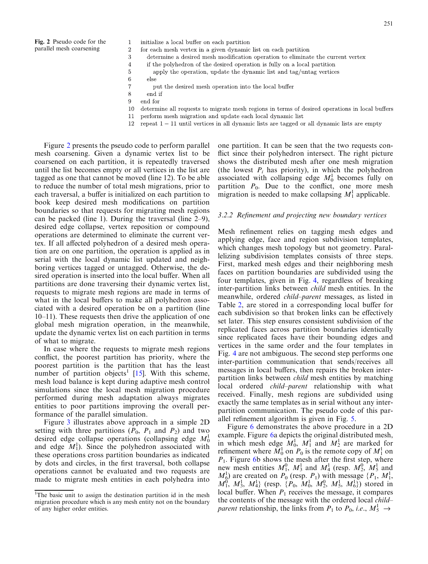Fig. 2 Pseudo code for the parallel mesh coarsening

- initialize a local buffer on each partition
- $\overline{2}$ for each mesh vertex in a given dynamic list on each partition 3
	- determine a desired mesh modification operation to eliminate the current vertex
	- if the polyhedron of the desired operation is fully on a local partition
	- apply the operation, update the dynamic list and tag/untag vertices else
	- put the desired mesh operation into the local buffer
- 8 end if

 $\overline{1}$ 

 $\overline{4}$ 

5

6

 $\overline{7}$ 

- 9 end for
- determine all requests to migrate mesh regions in terms of desired operations in local buffers 10
- perform mesh migration and update each local dynamic list 11
- 12 repeat  $1-11$  until vertices in all dynamic lists are tagged or all dynamic lists are empty

Figure 2 presents the pseudo code to perform parallel mesh coarsening. Given a dynamic vertex list to be coarsened on each partition, it is repeatedly traversed until the list becomes empty or all vertices in the list are tagged as one that cannot be moved (line 12). To be able to reduce the number of total mesh migrations, prior to each traversal, a buffer is initialized on each partition to book keep desired mesh modifications on partition boundaries so that requests for migrating mesh regions can be packed (line 1). During the traversal (line 2–9), desired edge collapse, vertex reposition or compound operations are determined to eliminate the current vertex. If all affected polyhedron of a desired mesh operation are on one partition, the operation is applied as in serial with the local dynamic list updated and neighboring vertices tagged or untagged. Otherwise, the desired operation is inserted into the local buffer. When all partitions are done traversing their dynamic vertex list, requests to migrate mesh regions are made in terms of what in the local buffers to make all polyhedron associated with a desired operation be on a partition (line 10–11). These requests then drive the application of one global mesh migration operation, in the meanwhile, update the dynamic vertex list on each partition in terms of what to migrate.

In case where the requests to migrate mesh regions conflict, the poorest partition has priority, where the poorest partition is the partition that has the least number of partition objects<sup>1</sup> [\[15](#page-11-0)]. With this scheme, mesh load balance is kept during adaptive mesh control simulations since the local mesh migration procedure performed during mesh adaptation always migrates entities to poor partitions improving the overall performance of the parallel simulation.

Figure [3](#page-5-0) illustrates above approach in a simple 2D setting with three partitions  $(P_0, P_1 \text{ and } P_2)$  and two desired edge collapse operations (collapsing edge  $M_0^1$ and edge  $M_1^1$ ). Since the polyhedron associated with these operations cross partition boundaries as indicated by dots and circles, in the first traversal, both collapse operations cannot be evaluated and two requests are made to migrate mesh entities in each polyhedra into

one partition. It can be seen that the two requests conflict since their polyhedron intersect. The right picture shows the distributed mesh after one mesh migration (the lowest  $P_i$  has priority), in which the polyhedron associated with collapsing edge  $M_0^1$  becomes fully on partition  $P_0$ . Due to the conflict, one more mesh migration is needed to make collapsing  $M_1^1$  applicable.

#### 3.2.2 Refinement and projecting new boundary vertices

Mesh refinement relies on tagging mesh edges and applying edge, face and region subdivision templates, which changes mesh topology but not geometry. Parallelizing subdivision templates consists of three steps. First, marked mesh edges and their neighboring mesh faces on partition boundaries are subdivided using the four templates, given in Fig. [4,](#page-5-0) regardless of breaking inter-partition links between child mesh entities. In the meanwhile, ordered child–parent messages, as listed in Table [2](#page-6-0), are stored in a corresponding local buffer for each subdivision so that broken links can be effectively set later. This step ensures consistent subdivision of the replicated faces across partition boundaries identically since replicated faces have their bounding edges and vertices in the same order and the four templates in Fig. [4](#page-5-0) are not ambiguous. The second step performs one inter-partition communication that sends/receives all messages in local buffers, then repairs the broken interpartition links between child mesh entities by matching local ordered child–parent relationship with what received. Finally, mesh regions are subdivided using exactly the same templates as in serial without any interpartition communication. The pseudo code of this parallel refinement algorithm is given in Fig. [5](#page-6-0).

Figure [6](#page-6-0) demonstrates the above procedure in a 2D example. Figure [6](#page-6-0)a depicts the original distributed mesh, in which mesh edge  $M_0^1$ ,  $M_1^1$  and  $M_2^1$  are marked for refinement where  $\tilde{M}_0^1$  on  $P_0$  is the remote copy of  $M_1^1$  on  $P_1$ . Figure [6b](#page-6-0) shows the mesh after the first step, where new mesh entities  $M_1^0$ ,  $M_3^1$  and  $M_4^1$  (resp.  $M_2^0$ ,  $M_5^1$  and  $M_6^1$ ) are created on  $P_0$  (resp.  $P_1$ ) with message  $\{P_1, M_1^1,$  $M_1^0$ ,  $M_3^1$ ,  $M_4^1$ } (resp.  $\{P_0, M_0^1, M_2^0, M_5^1, M_6^1\}$ ) stored in local buffer. When  $P_1$  receives the message, it compares the contents of the message with the ordered local child– parent relationship, the links from  $P_1$  to  $P_0$ , i.e.,  $M_5^1 \rightarrow$ 

<sup>&</sup>lt;sup>1</sup>The basic unit to assign the destination partition id in the mesh migration procedure which is any mesh entity not on the boundary of any higher order entities.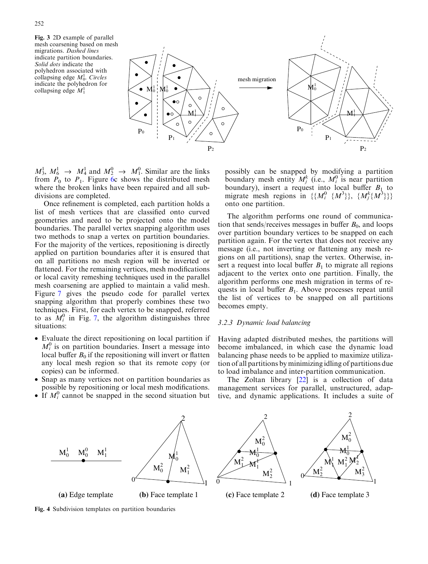<span id="page-5-0"></span>Fig. 3 2D example of parallel mesh coarsening based on mesh migrations. Dashed lines indicate partition boundaries. Solid dots indicate the polyhedron associated with collapsing edge  $M_0^1$ . Circles indicate the polyhedron for collapsing edge  $M_1^1$ 



 $M_3^1$ ,  $M_6^1 \rightarrow M_4^1$  and  $M_2^0 \rightarrow M_1^0$ . Similar are the links from  $P_0$  to  $P_1$ . Figure [6c](#page-6-0) shows the distributed mesh where the broken links have been repaired and all subdivisions are completed.

Once refinement is completed, each partition holds a list of mesh vertices that are classified onto curved geometries and need to be projected onto the model boundaries. The parallel vertex snapping algorithm uses two methods to snap a vertex on partition boundaries. For the majority of the vertices, repositioning is directly applied on partition boundaries after it is ensured that on all partitions no mesh region will be inverted or flattened. For the remaining vertices, mesh modifications or local cavity remeshing techniques used in the parallel mesh coarsening are applied to maintain a valid mesh. Figure [7](#page-7-0) gives the pseudo code for parallel vertex snapping algorithm that properly combines these two techniques. First, for each vertex to be snapped, referred to as  $M_i^0$  in Fig. [7](#page-7-0), the algorithm distinguishes three situations:

- Evaluate the direct repositioning on local partition if  $M_i^0$  is on partition boundaries. Insert a message into local buffer  $B_0$  if the repositioning will invert or flatten any local mesh region so that its remote copy (or copies) can be informed.
- Snap as many vertices not on partition boundaries as possible by repositioning or local mesh modifications.
- If  $M_i^0$  cannot be snapped in the second situation but

possibly can be snapped by modifying a partition boundary mesh entity  $M_j^k$  (i.e.,  $M_i^0$  is near partition boundary), insert a request into local buffer  $B_1$  to migrate mesh regions in  $\{\{M_i^0 \{M^3\}\}, \{M_j^k \{M^3\}\}\}\$ onto one partition.

The algorithm performs one round of communication that sends/receives messages in buffer  $B_0$ , and loops over partition boundary vertices to be snapped on each partition again. For the vertex that does not receive any message (i.e., not inverting or flattening any mesh regions on all partitions), snap the vertex. Otherwise, insert a request into local buffer  $B_1$  to migrate all regions adjacent to the vertex onto one partition. Finally, the algorithm performs one mesh migration in terms of requests in local buffer  $B_1$ . Above processes repeat until the list of vertices to be snapped on all partitions becomes empty.

#### 3.2.3 Dynamic load balancing

Having adapted distributed meshes, the partitions will become imbalanced, in which case the dynamic load balancing phase needs to be applied to maximize utilization of all partitions by minimizing idling of partitions due to load imbalance and inter-partition communication.

The Zoltan library [[22](#page-11-0)] is a collection of data management services for parallel, unstructured, adaptive, and dynamic applications. It includes a suite of



Fig. 4 Subdivision templates on partition boundaries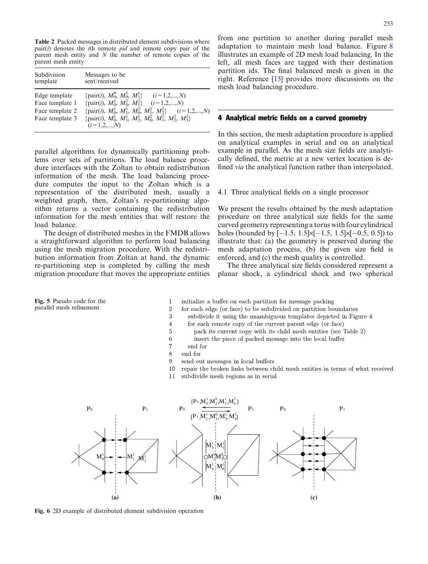<span id="page-6-0"></span>Table 2 Packed messages in distributed element subdivisions where  $pair(i)$  denotes the *i*th remote *pid* and remote copy pair of the parent mesh entity and  $N$  the number of remote copies of the parent mesh entity

| Subdivision                                                            | Messages to be                                                                                                                                                                                                                                                                                                                                                         |
|------------------------------------------------------------------------|------------------------------------------------------------------------------------------------------------------------------------------------------------------------------------------------------------------------------------------------------------------------------------------------------------------------------------------------------------------------|
| template                                                               | sent/received                                                                                                                                                                                                                                                                                                                                                          |
| Edge template<br>Face template 1<br>Face template 2<br>Face template 3 | {pair( <i>i</i> ), $M_0^0$ , $M_0^1$ , $M_1^1$ } ( <i>i</i> =1,2,, <i>N</i> )<br>{pair( <i>i</i> ), $M_0^1$ , $M_0^2$ , $M_1^2$ } ( <i>i</i> =1,2,, <i>N</i> )<br>{pair( <i>i</i> ), $M_0^1$ , $M_1^1$ , $M_0^2$ , $M_1^2$ , $M_2^2$ } ( <i>i</i> =1,2,, <i>N</i> )<br>{pair(i), $M_0^1$ , $M_1^1$ , $M_2^1$ , $M_0^2$ , $M_1^2$ , $M_2^2$ , $M_3^2$ }<br>$(i=1,2,,N)$ |

parallel algorithms for dynamically partitioning problems over sets of partitions. The load balance procedure interfaces with the Zoltan to obtain redistribution information of the mesh. The load balancing procedure computes the input to the Zoltan which is a representation of the distributed mesh, usually a weighted graph, then, Zoltan's re-partitioning algorithm returns a vector containing the redistribution information for the mesh entities that will restore the load balance.

The design of distributed meshes in the FMDB allows a straightforward algorithm to perform load balancing using the mesh migration procedure. With the redistribution information from Zoltan at hand, the dynamic re-partitioning step is completed by calling the mesh migration procedure that moves the appropriate entities

Fig. 5 Pseudo code for the parallel mesh refinement

from one partition to another during parallel mesh adaptation to maintain mesh load balance. Figure [8](#page-7-0) illustrates an example of 2D mesh load balancing. In the left, all mesh faces are tagged with their destination partition ids. The final balanced mesh is given in the right. Reference [[15](#page-11-0)] provides more discussions on the mesh load balancing procedure.

# 4 Analytical metric fields on a curved geometry

In this section, the mesh adaptation procedure is applied on analytical examples in serial and on an analytical example in parallel. As the mesh size fields are analytically defined, the metric at a new vertex location is defined *via* the analytical function rather than interpolated.

# 4.1 Three analytical fields on a single processor

We present the results obtained by the mesh adaptation procedure on three analytical size fields for the same curved geometry representing a torus with four cylindrical holes (bounded by  $[-1.5, 1.5]\times[-1.5, 1.5]\times[-0.5, 0.5])$  to illustrate that: (a) the geometry is preserved during the mesh adaptation process, (b) the given size field is enforced, and (c) the mesh quality is controlled.

The three analytical size fields considered represent a planar shock, a cylindrical shock and two spherical

- initialize a buffer on each partition for message packing
- for each edge (or face) to be subdivided on partition boundaries
- subdivide it using the unambiguous templates depicted in Figure 4
- for each remote copy of the current parent edge (or face)
	- pack its current copy with its child mesh entities (see Table 2)
- insert the piece of packed message into the local buffer
- $\overline{7}$ end for
- $\,8\,$ end for

 $\overline{1}$ 

 $\overline{2}$ 

3

 $\overline{4}$ 

 $\overline{5}$ 

 $\overline{6}$ 

- 9 send out messages in local buffers
- $10<sup>10</sup>$ repair the broken links between child mesh entities in terms of what received
- $11$ subdivide mesh regions as in serial



Fig. 6 2D example of distributed element subdivision operation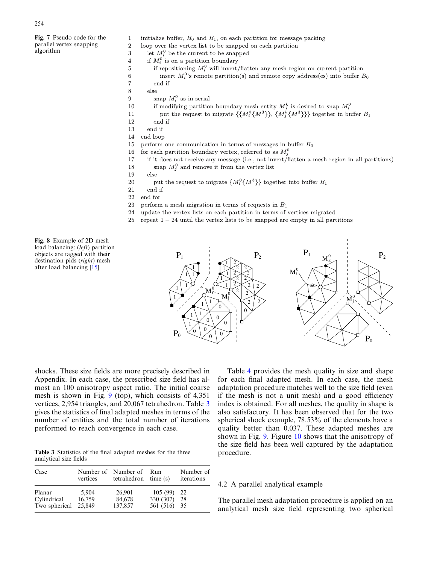<span id="page-7-0"></span>Fig. 7 Pseudo code for the parallel vertex snapping algorithm

- initialize buffer,  $B_0$  and  $B_1$ , on each partition for message packing
- $\overline{2}$ loop over the vertex list to be snapped on each partition 3
	- let  $M_i^0$  be the current to be snapped
	- if  $M_i^0$  is on a partition boundary
	- if repositioning  $M_i^0$  will invert/flatten any mesh region on current partition insert  $M_i^0$ 's remote partition(s) and remote copy address(es) into buffer  $B_0$

end if

 $_{else}$ 

 $\mathbf{1}$ 

 $\overline{4}$ 

 $\overline{5}$ 

 $\,6\,$  $\overline{7}$ 

8

10

11

- snap  $M_i^0$  as in serial 9
	- if modifying partition boundary mesh entity  $M_j^k$  is desired to snap  $M_i^0$
	- put the request to migrate  $\{\{M_i^0\{M^3\}\},\{M_i^k\{M^3\}\}\}\$  together in buffer  $B_1$
- 12 end if
- end if 13
- $14\,$ end loop
- 15 perform one communication in terms of messages in buffer  $B_0$
- for each partition boundary vertex, referred to as  $M_i^0$ 16
- if it does not receive any message (i.e., not invert/flatten a mesh region in all partitions) 17 18
	- snap  $M_i^0$  and remove it from the vertex list
- 19 else
- put the request to migrate  $\{M_i^0\{M^3\}\}\)$  together into buffer  $B_1$ 20
- 21 end if
- 22 end for
- perform a mesh migration in terms of requests in  $B_1$ 23
- update the vertex lists on each partition in terms of vertices migrated 24
- 25 repeat  $1-24$  until the vertex lists to be snapped are empty in all partitions

Fig. 8 Example of 2D mesh load balancing: (left) partition objects are tagged with their destination pids (right) mesh after load balancing [\[15\]](#page-11-0)



shocks. These size fields are more precisely described in Appendix. In each case, the prescribed size field has almost an 100 anisotropy aspect ratio. The initial coarse mesh is shown in Fig. [9](#page-8-0) (top), which consists of 4,351 vertices, 2,954 triangles, and 20,067 tetrahedron. Table 3 gives the statistics of final adapted meshes in terms of the number of entities and the total number of iterations performed to reach convergence in each case.

Table 3 Statistics of the final adapted meshes for the three analytical size fields

| Case                                   | vertices                  | Number of Number of<br>tetrahedron time (s) | Run                                  | Number of<br>iterations |
|----------------------------------------|---------------------------|---------------------------------------------|--------------------------------------|-------------------------|
| Planar<br>Cylindrical<br>Two spherical | 5.904<br>16,759<br>25,849 | 26,901<br>84,678<br>137,857                 | 105(99)<br>330 (307)<br>561 (516) 35 | 22<br>-28               |

Table [4](#page-8-0) provides the mesh quality in size and shape for each final adapted mesh. In each case, the mesh adaptation procedure matches well to the size field (even if the mesh is not a unit mesh) and a good efficiency index is obtained. For all meshes, the quality in shape is also satisfactory. It has been observed that for the two spherical shock example, 78.53% of the elements have a quality better than 0.037. These adapted meshes are shown in Fig. [9.](#page-8-0) Figure [10](#page-9-0) shows that the anisotropy of the size field has been well captured by the adaptation procedure.

#### 4.2 A parallel analytical example

The parallel mesh adaptation procedure is applied on an analytical mesh size field representing two spherical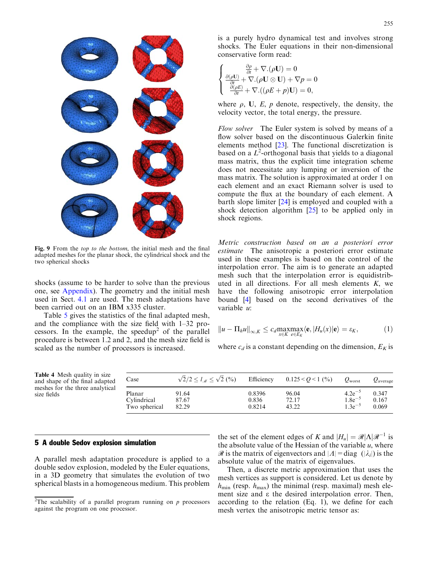<span id="page-8-0"></span>

Fig. 9 From the top to the bottom, the initial mesh and the final adapted meshes for the planar shock, the cylindrical shock and the two spherical shocks

shocks (assume to be harder to solve than the previous one, see Appendix). The geometry and the initial mesh used in Sect. 4.1 are used. The mesh adaptations have been carried out on an IBM x335 cluster.

Table [5](#page-9-0) gives the statistics of the final adapted mesh, and the compliance with the size field with 1–32 processors. In the example, the speedup<sup>2</sup> of the parallel procedure is between 1.2 and 2, and the mesh size field is scaled as the number of processors is increased.

is a purely hydro dynamical test and involves strong shocks. The Euler equations in their non-dimensional conservative form read:

$$
\left\{ \begin{matrix} \frac{\partial \rho}{\partial t} + \nabla .(\rho \mathbf{U}) = 0 \\ \frac{\partial (\rho \mathbf{U})}{\partial t} + \nabla .(\rho \mathbf{U} \otimes \mathbf{U}) + \nabla p = 0 \\ \frac{\partial (\rho E)}{\partial t} + \nabla .((\rho E + p)\mathbf{U}) = 0, \end{matrix} \right.
$$

where  $\rho$ , U, E, p denote, respectively, the density, the velocity vector, the total energy, the pressure.

Flow solver The Euler system is solved by means of a flow solver based on the discontinuous Galerkin finite elements method [\[23](#page-11-0)]. The functional discretization is based on a  $L^2$ -orthogonal basis that yields to a diagonal mass matrix, thus the explicit time integration scheme does not necessitate any lumping or inversion of the mass matrix. The solution is approximated at order 1 on each element and an exact Riemann solver is used to compute the flux at the boundary of each element. A barth slope limiter [[24\]](#page-11-0) is employed and coupled with a shock detection algorithm [\[25](#page-11-0)] to be applied only in shock regions.

Metric construction based on an a posteriori error estimate The anisotropic a posteriori error estimate used in these examples is based on the control of the interpolation error. The aim is to generate an adapted mesh such that the interpolation error is equidistributed in all directions. For all mesh elements  $K$ , we have the following anisotropic error interpolation bound [\[4](#page-10-0)] based on the second derivatives of the variable u:

$$
||u - \Pi_h u||_{\infty, K} \leq c_d \max_{x \in K} \max_{e \in E_K} \langle \mathbf{e}, |H_u(x)| \mathbf{e} \rangle = \varepsilon_K, \tag{1}
$$

where  $c_d$  is a constant depending on the dimension,  $E_K$  is

Table 4 Mesh quality in size and shape of the final adapted meshes for the three analytical size fields

| Case          | $\sqrt{2}/2 \le l_{\mathcal{M}} \le \sqrt{2}$ (%) | Efficiency | $0.125 < Q < 1$ (%) | $Q_{\text{worst}}$ | $Q_{\text{average}}$ |
|---------------|---------------------------------------------------|------------|---------------------|--------------------|----------------------|
| Planar        | 91.64                                             | 0.8396     | 96.04               | $4.2e^{-5}$        | 0.347                |
| Cylindrical   | 87.67                                             | 0.836      | 72.17               | $1.8e^{-5}$        | 0.167                |
| Two spherical | 82.29                                             | 0.8214     | 43.22               | $1.3e^{-5}$        | 0.069                |

# 5 A double Sedov explosion simulation

A parallel mesh adaptation procedure is applied to a double sedov explosion, modeled by the Euler equations, in a 3D geometry that simulates the evolution of two spherical blasts in a homogeneous medium. This problem

the set of the element edges of K and  $|H_u| = \Re|\Lambda|\mathcal{R}^{-1}$  is the absolute value of the Hessian of the variable  $u$ , where  $\mathscr R$  is the matrix of eigenvectors and  $|A| = \text{diag } (|\lambda_i|)$  is the absolute value of the matrix of eigenvalues.

Then, a discrete metric approximation that uses the mesh vertices as support is considered. Let us denote by  $h_{\min}$  (resp.  $h_{\max}$ ) the minimal (resp. maximal) mesh element size and e the desired interpolation error. Then, according to the relation (Eq. 1), we define for each mesh vertex the anisotropic metric tensor as:

<sup>&</sup>lt;sup>2</sup>The scalability of a parallel program running on  $p$  processors against the program on one processor.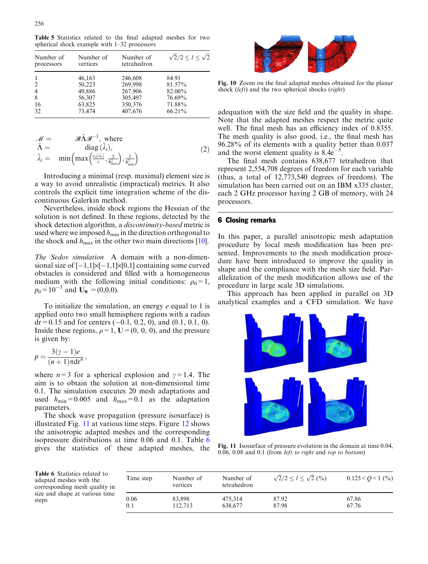<span id="page-9-0"></span>Table 5 Statistics related to the final adapted meshes for two spherical shock example with 1–32 processors

| Number of<br>processors | Number of<br>vertices | Number of<br>tetrahedron | $\sqrt{2}/2 \leq l \leq \sqrt{2}$ |
|-------------------------|-----------------------|--------------------------|-----------------------------------|
| 1                       | 46,163                | 246,608                  | 84.91                             |
| 2                       | 50.223                | 269,998                  | 81.57%                            |
| 4                       | 49,886                | 267,906                  | 82.00%                            |
| 8                       | 56,307                | 305,497                  | 76.69%                            |
| 16                      | 63,825                | 350,376                  | 71.88%                            |
| 32                      | 73,474                | 407,676                  | 66.21%                            |

$$
\mathcal{M} = \mathcal{R}\tilde{\Lambda}\mathcal{R}^{-1}, \text{ where}
$$
\n
$$
\tilde{\Lambda} = \text{diag}(\tilde{\lambda}_i),
$$
\n
$$
\tilde{\lambda}_i = \text{min}\left(\max\left(\frac{c_d|\lambda_i|}{\varepsilon}, \frac{1}{h_{\text{max}}^2}\right), \frac{1}{h_{\text{min}}^2}\right)
$$
\n(2)

Introducing a minimal (resp. maximal) element size is a way to avoid unrealistic (impractical) metrics. It also controls the explicit time integration scheme of the discontinuous Galerkin method.

Nevertheless, inside shock regions the Hessian of the solution is not defined. In these regions, detected by the shock detection algorithm, a discontinuity-based metric is used where we imposed  $h_{\min}$  in the direction orthogonal to the shock and  $h_{\text{max}}$  in the other two main directions [\[10](#page-11-0)].

The Sedov simulation A domain with a non-dimensional size of  $[-1,1]\times[-1,1]\times[0,1]$  containing some curved obstacles is considered and filled with a homogeneous medium with the following initial conditions:  $\rho_0=1$ ,  $p_0=10^{-5}$  and  $U_0 = (0,0,0)$ .

To initialize the simulation, an energy  $e$  equal to 1 is applied onto two small hemisphere regions with a radius  $dr = 0.15$  and for centers (-0.1, 0.2, 0), and (0.1, 0.1, 0). Inside these regions,  $\rho = 1$ ,  $U = (0, 0, 0)$ , and the pressure is given by:

$$
p = \frac{3(\gamma - 1)e}{(n+1)\pi \mathrm{d} \mathbf{r}^n},
$$

where  $n=3$  for a spherical explosion and  $\gamma=1.4$ . The aim is to obtain the solution at non-dimensional time 0.1. The simulation executes 20 mesh adaptations and used  $h_{\text{min}}=0.005$  and  $h_{\text{max}}=0.1$  as the adaptation parameters.

The shock wave propagation (pressure isosurface) is illustrated Fig. 11 at various time steps. Figure [12](#page-10-0) shows the anisotropic adapted meshes and the corresponding isopressure distributions at time 0.06 and 0.1. Table 6 gives the statistics of these adapted meshes, the



Fig. 10 Zoom on the final adapted meshes obtained for the planar shock (left) and the two spherical shocks (right)

adequation with the size field and the quality in shape. Note that the adapted meshes respect the metric quite well. The final mesh has an efficiency index of 0.8355. The mesh quality is also good, i.e., the final mesh has 96.28% of its elements with a quality better than 0.037 and the worst element quality is  $8.4e^{-5}$ .

The final mesh contains 638,677 tetrahedron that represent 2,554,708 degrees of freedom for each variable (thus, a total of 12,773,540 degrees of freedom). The simulation has been carried out on an IBM x335 cluster, each 2 GHz processor having 2 GB of memory, with 24 processors.

# 6 Closing remarks

In this paper, a parallel anisotropic mesh adaptation procedure by local mesh modification has been presented. Improvements to the mesh modification procedure have been introduced to improve the quality in shape and the compliance with the mesh size field. Parallelization of the mesh modification allows use of the procedure in large scale 3D simulations.

This approach has been applied in parallel on 3D analytical examples and a CFD simulation. We have



Fig. 11 Isosurface of pressure evolution in the domain at time 0.04, 0.06, 0.08 and 0.1 (from left to right and top to bottom)

Table 6 Statistics related to adapted meshes with the corresponding mesh quality in size and shape at various time steps

| Time step | Number of<br>vertices | Number of<br>tetrahedron | $\sqrt{2}/2 \le l \le \sqrt{2}$ (%) | $0.125 < Q < 1$ (%) |
|-----------|-----------------------|--------------------------|-------------------------------------|---------------------|
| 0.06      | 83,898                | 475,314                  | 87.92                               | 67.86               |
| 0.1       | 112.713               | 638,677                  | 87.98                               | 67.76               |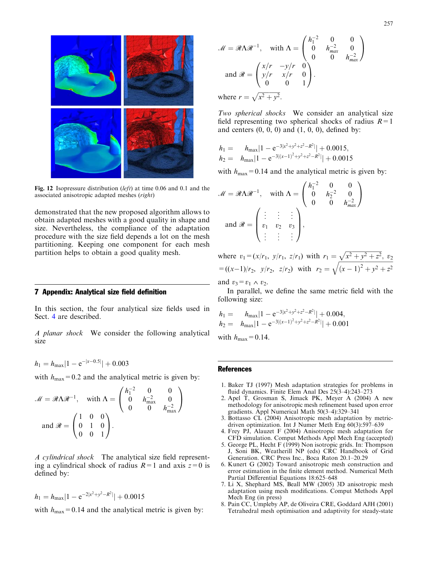<span id="page-10-0"></span>

Fig. 12 Isopressure distribution (*left*) at time 0.06 and 0.1 and the associated anisotropic adapted meshes (right)

demonstrated that the new proposed algorithm allows to obtain adapted meshes with a good quality in shape and size. Nevertheless, the compliance of the adaptation procedure with the size field depends a lot on the mesh partitioning. Keeping one component for each mesh partition helps to obtain a good quality mesh.

#### 7 Appendix: Analytical size field definition

In this section, the four analytical size fields used in Sect. 4 are described.

A planar shock We consider the following analytical size

$$
h_1 = h_{\text{max}} |1 - e^{-|x - 0.5|}| + 0.003
$$

with  $h_{\text{max}}=0.2$  and the analytical metric is given by:

$$
\mathcal{M} = \mathcal{R}\Lambda\mathcal{R}^{-1}, \text{ with } \Lambda = \begin{pmatrix} h_1^{-2} & 0 & 0 \\ 0 & h_{\text{max}}^{-2} & 0 \\ 0 & 0 & h_{\text{max}}^{-2} \end{pmatrix}
$$
  
and  $\mathcal{R} = \begin{pmatrix} 1 & 0 & 0 \\ 0 & 1 & 0 \\ 0 & 0 & 1 \end{pmatrix}.$ 

A cylindrical shock The analytical size field representing a cylindrical shock of radius  $R=1$  and axis  $z=0$  is defined by:

$$
h_1 = h_{\text{max}} |1 - e^{-2|x^2 + y^2 - R^2|}| + 0.0015
$$

with  $h_{\text{max}}=0.14$  and the analytical metric is given by:

$$
\mathcal{M} = \mathcal{R}\Lambda\mathcal{R}^{-1}, \quad \text{with } \Lambda = \begin{pmatrix} h_1^{-2} & 0 & 0 \\ 0 & h_{max}^{-2} & 0 \\ 0 & 0 & h_{max}^{-2} \end{pmatrix}
$$
  
and  $\mathcal{R} = \begin{pmatrix} x/r & -y/r & 0 \\ y/r & x/r & 0 \\ 0 & 0 & 1 \end{pmatrix}.$   
where  $r = \sqrt{x^2 + y^2}$ .

Two spherical shocks We consider an analytical size field representing two spherical shocks of radius  $R=1$ and centers  $(0, 0, 0)$  and  $(1, 0, 0)$ , defined by:

$$
h_1 = h_{\text{max}} |1 - e^{-3|x^2 + y^2 + z^2 - R^2|} + 0.0015,
$$
  
\n
$$
h_2 = h_{\text{max}} |1 - e^{-3|(x-1)^2 + y^2 + z^2 - R^2|} + 0.0015
$$

with  $h_{\text{max}}=0.14$  and the analytical metric is given by:

$$
\mathcal{M} = \mathcal{R}\Lambda\mathcal{R}^{-1}, \quad \text{with } \Lambda = \begin{pmatrix} h_1^{-2} & 0 & 0 \\ 0 & h_2^{-2} & 0 \\ 0 & 0 & h_{\text{max}}^{-2} \end{pmatrix}
$$
  
and  $\mathcal{R} = \begin{pmatrix} \vdots & \vdots & \vdots \\ v_1 & v_2 & v_3 \\ \vdots & \vdots & \vdots \end{pmatrix},$ 

where  $v_1 = (x/r_1, y/r_1, z/r_1)$  with  $r_1 = \sqrt{x^2 + y^2 + z^2}$ ,  $v_2$  $=((x-1)/r_2, y/r_2, z/r_2)$  with  $r_2=$  $\frac{1}{\sqrt{2}}$  $\sqrt{(x-1)^2 + y^2 + z^2}$ 

and  $v_3 = v_1 \wedge v_2$ .

In parallel, we define the same metric field with the following size:

$$
h_1 = h_{\text{max}} |1 - e^{-3|x^2 + y^2 + z^2 - R^2|} | + 0.004,
$$
  
\n
$$
h_2 = h_{\text{max}} |1 - e^{-3|(x-1)^2 + y^2 + z^2 - R^2|} | + 0.001
$$

with  $h_{\text{max}}=0.14$ .

#### **References**

- 1. Baker TJ (1997) Mesh adaptation strategies for problems in fluid dynamics. Finite Elem Anal Des 25(3–4):243–273
- 2. Apel T, Grosman S, Jimack PK, Meyer A (2004) A new methodology for anisotropic mesh refinement based upon error gradients. Appl Numerical Math 50(3–4):329–341
- 3. Bottasso CL (2004) Anisotropic mesh adaptation by metricdriven optimization. Int J Numer Meth Eng 60(3):597–639
- 4. Frey PJ, Alauzet F (2004) Anisotropic mesh adaptation for CFD simulation. Comput Methods Appl Mech Eng (accepted)
- 5. George PL, Hecht F (1999) Non isotropic grids. In: Thompson J, Soni BK, Weatherill NP (eds) CRC Handbook of Grid Generation. CRC Press Inc., Boca Raton 20.1–20.29
- 6. Kunert G (2002) Toward anisotropic mesh construction and error estimation in the finite element method. Numerical Meth Partial Differential Equations 18:625–648
- 7. Li X, Shephard MS, Beall MW (2005) 3D anisotropic mesh adaptation using mesh modifications. Comput Methods Appl Mech Eng (in press)
- 8. Pain CC, Umpleby AP, de Oliveira CRE, Goddard AJH (2001) Tetrahedral mesh optimisation and adaptivity for steady-state